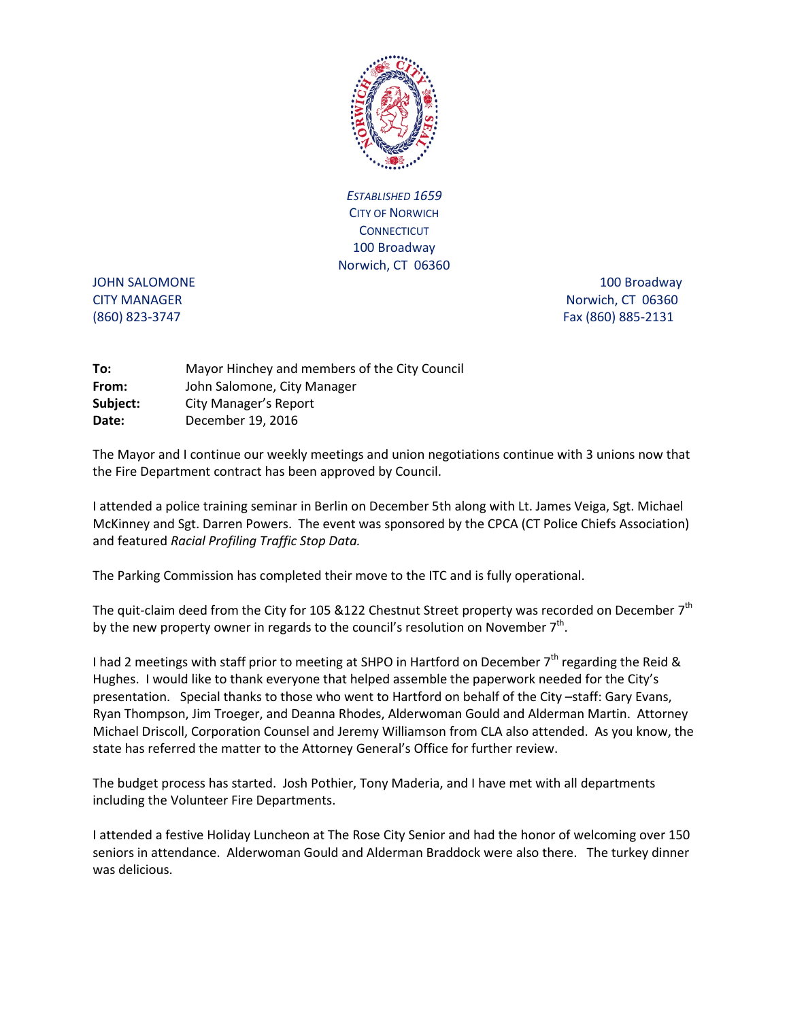

*ESTABLISHED 1659* CITY OF NORWICH **CONNECTICUT** 100 Broadway Norwich, CT 06360

JOHN SALOMONE 2000 100 Broadway 300 Broadway CITY MANAGER Norwich, CT 06360 (860) 823-3747 Fax (860) 885-2131

| To:      | Mayor Hinchey and members of the City Council |
|----------|-----------------------------------------------|
| From:    | John Salomone, City Manager                   |
| Subject: | <b>City Manager's Report</b>                  |
| Date:    | December 19, 2016                             |

The Mayor and I continue our weekly meetings and union negotiations continue with 3 unions now that the Fire Department contract has been approved by Council.

I attended a police training seminar in Berlin on December 5th along with Lt. James Veiga, Sgt. Michael McKinney and Sgt. Darren Powers. The event was sponsored by the CPCA (CT Police Chiefs Association) and featured *Racial Profiling Traffic Stop Data.*

The Parking Commission has completed their move to the ITC and is fully operational.

The quit-claim deed from the City for 105 &122 Chestnut Street property was recorded on December  $7<sup>th</sup>$ by the new property owner in regards to the council's resolution on November  $7<sup>th</sup>$ .

I had 2 meetings with staff prior to meeting at SHPO in Hartford on December  $7<sup>th</sup>$  regarding the Reid & Hughes. I would like to thank everyone that helped assemble the paperwork needed for the City's presentation. Special thanks to those who went to Hartford on behalf of the City –staff: Gary Evans, Ryan Thompson, Jim Troeger, and Deanna Rhodes, Alderwoman Gould and Alderman Martin. Attorney Michael Driscoll, Corporation Counsel and Jeremy Williamson from CLA also attended. As you know, the state has referred the matter to the Attorney General's Office for further review.

The budget process has started. Josh Pothier, Tony Maderia, and I have met with all departments including the Volunteer Fire Departments.

I attended a festive Holiday Luncheon at The Rose City Senior and had the honor of welcoming over 150 seniors in attendance. Alderwoman Gould and Alderman Braddock were also there. The turkey dinner was delicious.